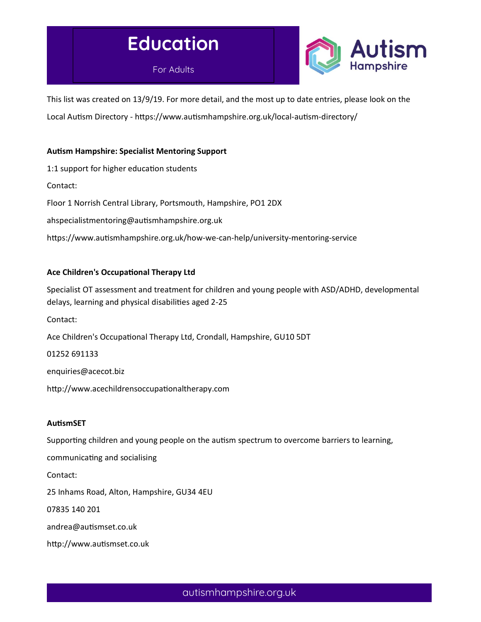# Education

For Adults



This list was created on 13/9/19. For more detail, and the most up to date entries, please look on the Local Autism Directory - https://www.autismhampshire.org.uk/local-autism-directory/

# Autism Hampshire: Specialist Mentoring Support

1:1 support for higher education students Contact: Floor 1 Norrish Central Library, Portsmouth, Hampshire, PO1 2DX ahspecialistmentoring@autismhampshire.org.uk https://www.autismhampshire.org.uk/how-we-can-help/university-mentoring-service

# Ace Children's Occupational Therapy Ltd

Specialist OT assessment and treatment for children and young people with ASD/ADHD, developmental delays, learning and physical disabilities aged 2-25 Contact: Ace Children's Occupational Therapy Ltd, Crondall, Hampshire, GU10 5DT 01252 691133 enquiries@acecot.biz http://www.acechildrensoccupationaltherapy.com

#### **AutismSET**

Supporting children and young people on the autism spectrum to overcome barriers to learning,

communicating and socialising

Contact:

25 Inhams Road, Alton, Hampshire, GU34 4EU

07835 140 201

andrea@autismset.co.uk

http://www.autismset.co.uk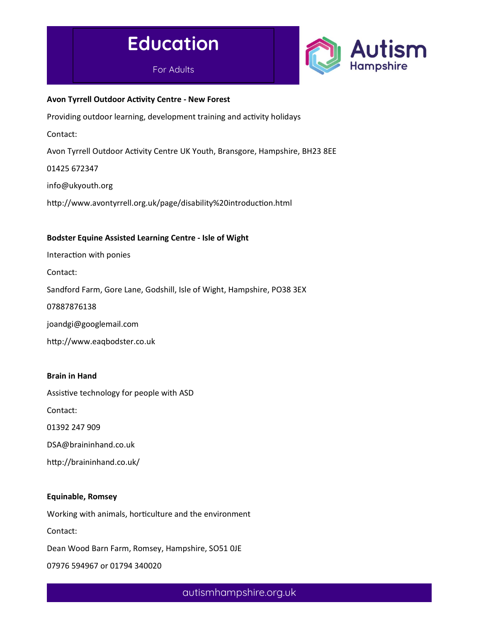



#### Avon Tyrrell Outdoor Activity Centre - New Forest

Providing outdoor learning, development training and activity holidays

Contact:

Avon Tyrrell Outdoor Activity Centre UK Youth, Bransgore, Hampshire, BH23 8EE

01425 672347

info@ukyouth.org

http://www.avontyrrell.org.uk/page/disability%20introduction.html

#### Bodster Equine Assisted Learning Centre - Isle of Wight

Interaction with ponies

Contact:

Sandford Farm, Gore Lane, Godshill, Isle of Wight, Hampshire, PO38 3EX

07887876138

joandgi@googlemail.com

http://www.eaqbodster.co.uk

#### Brain in Hand

Assistive technology for people with ASD

Contact:

01392 247 909

DSA@braininhand.co.uk

http://braininhand.co.uk/

#### Equinable, Romsey

Working with animals, horticulture and the environment

Contact:

Dean Wood Barn Farm, Romsey, Hampshire, SO51 0JE

07976 594967 or 01794 340020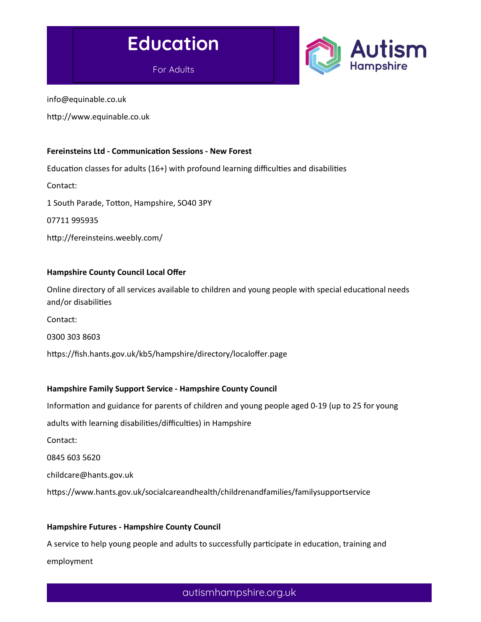



info@equinable.co.uk

http://www.equinable.co.uk

#### Fereinsteins Ltd - Communication Sessions - New Forest

Education classes for adults (16+) with profound learning difficulties and disabilities

Contact:

1 South Parade, Totton, Hampshire, SO40 3PY

07711 995935

http://fereinsteins.weebly.com/

#### Hampshire County Council Local Offer

Online directory of all services available to children and young people with special educational needs and/or disabilities

Contact:

0300 303 8603

https://fish.hants.gov.uk/kb5/hampshire/directory/localoffer.page

#### Hampshire Family Support Service - Hampshire County Council

Information and guidance for parents of children and young people aged 0-19 (up to 25 for young adults with learning disabilities/difficulties) in Hampshire Contact: 0845 603 5620 childcare@hants.gov.uk

https://www.hants.gov.uk/socialcareandhealth/childrenandfamilies/familysupportservice

#### Hampshire Futures - Hampshire County Council

A service to help young people and adults to successfully participate in education, training and employment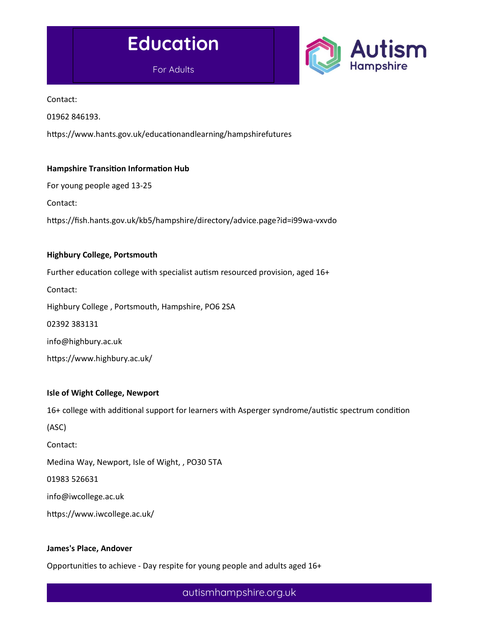



Contact:

01962 846193.

https://www.hants.gov.uk/educationandlearning/hampshirefutures

# Hampshire Transition Information Hub

For young people aged 13-25

Contact:

https://fish.hants.gov.uk/kb5/hampshire/directory/advice.page?id=i99wa-vxvdo

#### Highbury College, Portsmouth

Further education college with specialist autism resourced provision, aged 16+

Contact:

Highbury College , Portsmouth, Hampshire, PO6 2SA

02392 383131

info@highbury.ac.uk

https://www.highbury.ac.uk/

#### Isle of Wight College, Newport

16+ college with additional support for learners with Asperger syndrome/autistic spectrum condition

(ASC)

Contact:

Medina Way, Newport, Isle of Wight, , PO30 5TA

01983 526631

info@iwcollege.ac.uk

https://www.iwcollege.ac.uk/

#### James's Place, Andover

Opportunities to achieve - Day respite for young people and adults aged 16+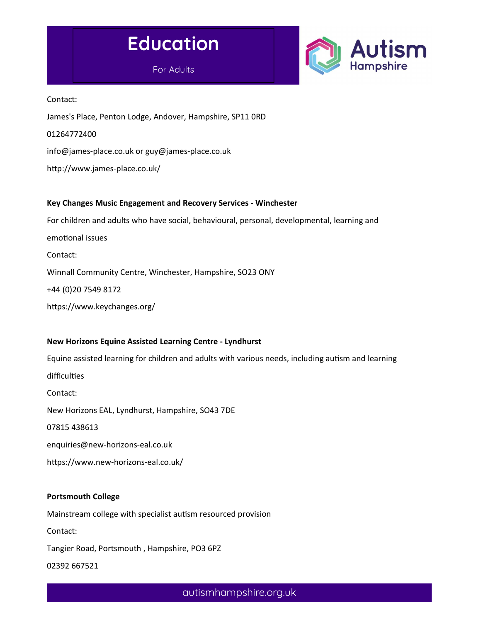



Contact:

James's Place, Penton Lodge, Andover, Hampshire, SP11 0RD

01264772400

info@james-place.co.uk or guy@james-place.co.uk

http://www.james-place.co.uk/

# Key Changes Music Engagement and Recovery Services - Winchester

For children and adults who have social, behavioural, personal, developmental, learning and emotional issues Contact: Winnall Community Centre, Winchester, Hampshire, SO23 ONY +44 (0)20 7549 8172 https://www.keychanges.org/

# New Horizons Equine Assisted Learning Centre - Lyndhurst

Equine assisted learning for children and adults with various needs, including autism and learning difficulties Contact: New Horizons EAL, Lyndhurst, Hampshire, SO43 7DE 07815 438613 enquiries@new-horizons-eal.co.uk

https://www.new-horizons-eal.co.uk/

# Portsmouth College

Mainstream college with specialist autism resourced provision Contact:

Tangier Road, Portsmouth , Hampshire, PO3 6PZ

02392 667521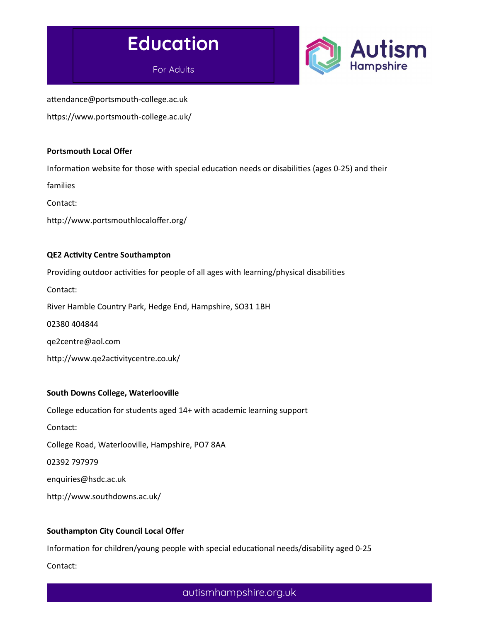



attendance@portsmouth-college.ac.uk https://www.portsmouth-college.ac.uk/

#### Portsmouth Local Offer

Information website for those with special education needs or disabilities (ages 0-25) and their

families

Contact:

http://www.portsmouthlocaloffer.org/

#### QE2 Activity Centre Southampton

Providing outdoor activities for people of all ages with learning/physical disabilities

Contact:

River Hamble Country Park, Hedge End, Hampshire, SO31 1BH

02380 404844

qe2centre@aol.com

http://www.qe2activitycentre.co.uk/

#### South Downs College, Waterlooville

College education for students aged 14+ with academic learning support

Contact:

College Road, Waterlooville, Hampshire, PO7 8AA

02392 797979

enquiries@hsdc.ac.uk

http://www.southdowns.ac.uk/

#### Southampton City Council Local Offer

Information for children/young people with special educational needs/disability aged 0-25 Contact: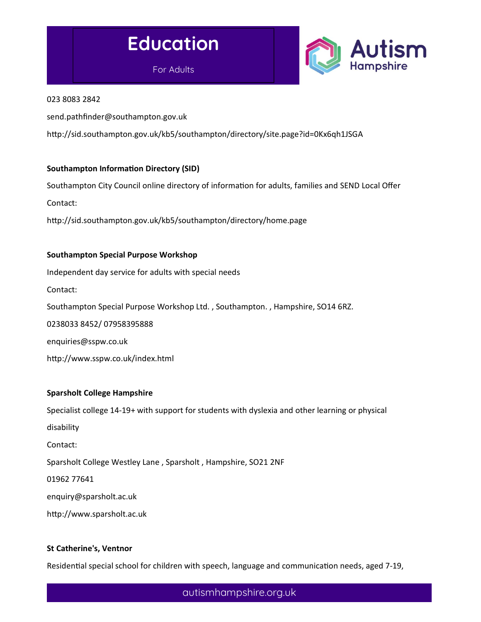# Education

For Adults



#### 023 8083 2842

send.pathfinder@southampton.gov.uk

http://sid.southampton.gov.uk/kb5/southampton/directory/site.page?id=0Kx6qh1JSGA

# Southampton Information Directory (SID)

Southampton City Council online directory of information for adults, families and SEND Local Offer Contact:

http://sid.southampton.gov.uk/kb5/southampton/directory/home.page

# Southampton Special Purpose Workshop Independent day service for adults with special needs Contact: Southampton Special Purpose Workshop Ltd. , Southampton. , Hampshire, SO14 6RZ. 0238033 8452/ 07958395888 enquiries@sspw.co.uk http://www.sspw.co.uk/index.html

#### Sparsholt College Hampshire

Specialist college 14-19+ with support for students with dyslexia and other learning or physical

disability

Contact:

Sparsholt College Westley Lane , Sparsholt , Hampshire, SO21 2NF

01962 77641

enquiry@sparsholt.ac.uk

http://www.sparsholt.ac.uk

#### St Catherine's, Ventnor

Residential special school for children with speech, language and communication needs, aged 7-19,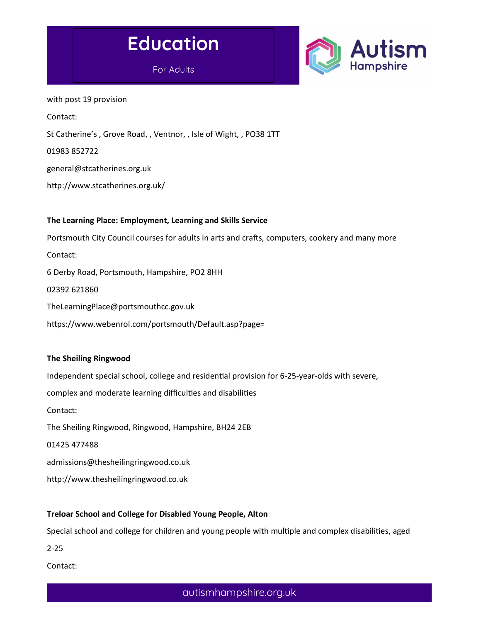



with post 19 provision Contact: St Catherine's , Grove Road, , Ventnor, , Isle of Wight, , PO38 1TT 01983 852722 general@stcatherines.org.uk http://www.stcatherines.org.uk/

# The Learning Place: Employment, Learning and Skills Service

Portsmouth City Council courses for adults in arts and crafts, computers, cookery and many more

Contact:

6 Derby Road, Portsmouth, Hampshire, PO2 8HH

02392 621860

TheLearningPlace@portsmouthcc.gov.uk

https://www.webenrol.com/portsmouth/Default.asp?page=

#### The Sheiling Ringwood

Independent special school, college and residential provision for 6-25-year-olds with severe, complex and moderate learning difficulties and disabilities Contact: The Sheiling Ringwood, Ringwood, Hampshire, BH24 2EB 01425 477488 admissions@thesheilingringwood.co.uk

http://www.thesheilingringwood.co.uk

# Treloar School and College for Disabled Young People, Alton

Special school and college for children and young people with multiple and complex disabilities, aged

2-25

Contact: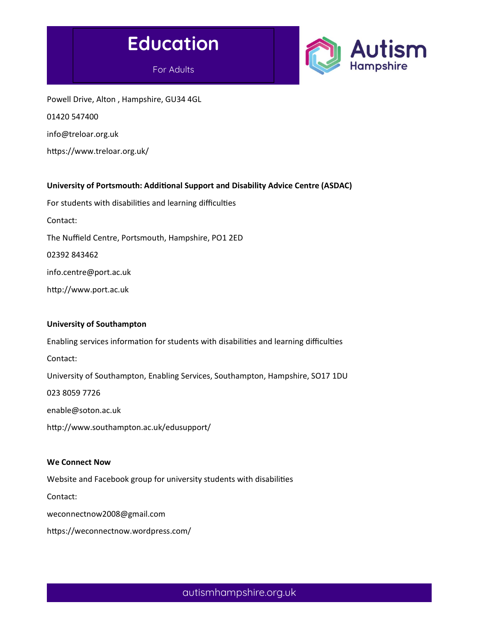



Powell Drive, Alton , Hampshire, GU34 4GL 01420 547400 info@treloar.org.uk

https://www.treloar.org.uk/

#### University of Portsmouth: Additional Support and Disability Advice Centre (ASDAC)

For students with disabilities and learning difficulties Contact: The Nuffield Centre, Portsmouth, Hampshire, PO1 2ED 02392 843462 info.centre@port.ac.uk http://www.port.ac.uk

#### University of Southampton

Enabling services information for students with disabilities and learning difficulties Contact: University of Southampton, Enabling Services, Southampton, Hampshire, SO17 1DU 023 8059 7726 enable@soton.ac.uk http://www.southampton.ac.uk/edusupport/

#### We Connect Now

Website and Facebook group for university students with disabilities

Contact:

weconnectnow2008@gmail.com

https://weconnectnow.wordpress.com/